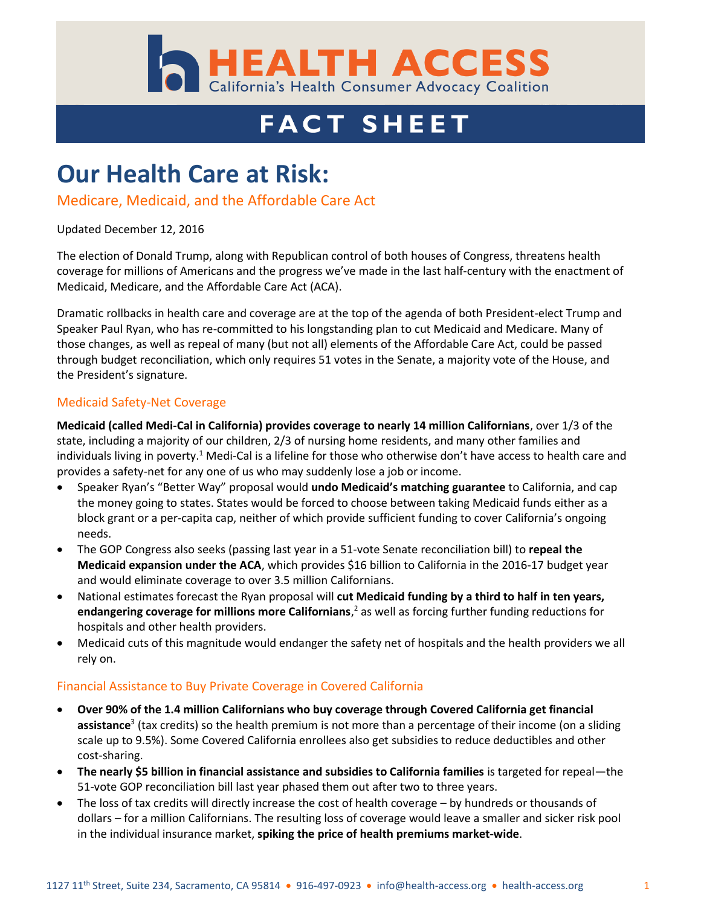

# **FACT SHEET**

## **Our Health Care at Risk:**

#### Medicare, Medicaid, and the Affordable Care Act

#### Updated December 12, 2016

The election of Donald Trump, along with Republican control of both houses of Congress, threatens health coverage for millions of Americans and the progress we've made in the last half-century with the enactment of Medicaid, Medicare, and the Affordable Care Act (ACA).

Dramatic rollbacks in health care and coverage are at the top of the agenda of both President-elect Trump and Speaker Paul Ryan, who has re-committed to his longstanding plan to cut Medicaid and Medicare. Many of those changes, as well as repeal of many (but not all) elements of the Affordable Care Act, could be passed through budget reconciliation, which only requires 51 votes in the Senate, a majority vote of the House, and the President's signature.

#### Medicaid Safety-Net Coverage

**Medicaid (called Medi-Cal in California) provides coverage to nearly 14 million Californians**, over 1/3 of the state, including a majority of our children, 2/3 of nursing home residents, and many other families and individuals living in poverty.<sup>1</sup> Medi-Cal is a lifeline for those who otherwise don't have access to health care and provides a safety-net for any one of us who may suddenly lose a job or income.

- Speaker Ryan's "Better Way" proposal would **undo Medicaid's matching guarantee** to California, and cap the money going to states. States would be forced to choose between taking Medicaid funds either as a block grant or a per-capita cap, neither of which provide sufficient funding to cover California's ongoing needs.
- The GOP Congress also seeks (passing last year in a 51-vote Senate reconciliation bill) to **repeal the Medicaid expansion under the ACA**, which provides \$16 billion to California in the 2016-17 budget year and would eliminate coverage to over 3.5 million Californians.
- National estimates forecast the Ryan proposal will **cut Medicaid funding by a third to half in ten years, endangering coverage for millions more Californians**, <sup>2</sup> as well as forcing further funding reductions for hospitals and other health providers.
- Medicaid cuts of this magnitude would endanger the safety net of hospitals and the health providers we all rely on.

#### Financial Assistance to Buy Private Coverage in Covered California

- **Over 90% of the 1.4 million Californians who buy coverage through Covered California get financial assistance**<sup>3</sup> (tax credits) so the health premium is not more than a percentage of their income (on a sliding scale up to 9.5%). Some Covered California enrollees also get subsidies to reduce deductibles and other cost-sharing.
- **The nearly \$5 billion in financial assistance and subsidies to California families** is targeted for repeal—the 51-vote GOP reconciliation bill last year phased them out after two to three years.
- The loss of tax credits will directly increase the cost of health coverage by hundreds or thousands of dollars – for a million Californians. The resulting loss of coverage would leave a smaller and sicker risk pool in the individual insurance market, **spiking the price of health premiums market-wide**.